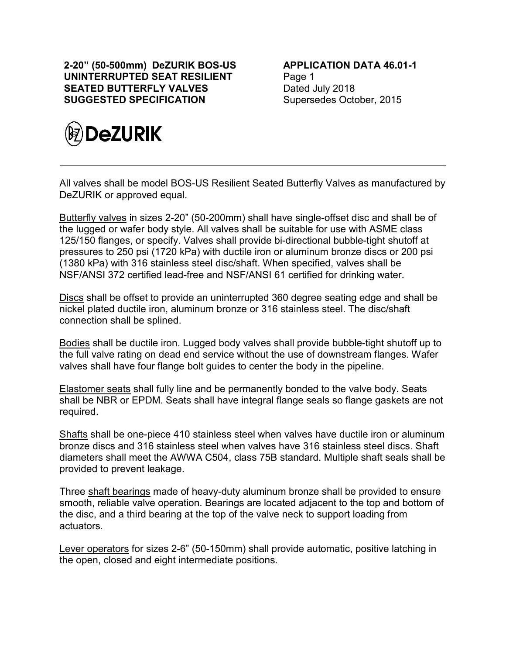**2-20" (50-500mm) DeZURIK BOS-US UNINTERRUPTED SEAT RESILIENT SEATED BUTTERFLY VALVES SUGGESTED SPECIFICATION**



**APPLICATION DATA 46.01-1** Page 1 Dated July 2018 Supersedes October, 2015

All valves shall be model BOS-US Resilient Seated Butterfly Valves as manufactured by DeZURIK or approved equal.

Butterfly valves in sizes 2-20" (50-200mm) shall have single-offset disc and shall be of the lugged or wafer body style. All valves shall be suitable for use with ASME class 125/150 flanges, or specify. Valves shall provide bi-directional bubble-tight shutoff at pressures to 250 psi (1720 kPa) with ductile iron or aluminum bronze discs or 200 psi (1380 kPa) with 316 stainless steel disc/shaft. When specified, valves shall be NSF/ANSI 372 certified lead-free and NSF/ANSI 61 certified for drinking water.

Discs shall be offset to provide an uninterrupted 360 degree seating edge and shall be nickel plated ductile iron, aluminum bronze or 316 stainless steel. The disc/shaft connection shall be splined.

Bodies shall be ductile iron. Lugged body valves shall provide bubble-tight shutoff up to the full valve rating on dead end service without the use of downstream flanges. Wafer valves shall have four flange bolt guides to center the body in the pipeline.

Elastomer seats shall fully line and be permanently bonded to the valve body. Seats shall be NBR or EPDM. Seats shall have integral flange seals so flange gaskets are not required.

Shafts shall be one-piece 410 stainless steel when valves have ductile iron or aluminum bronze discs and 316 stainless steel when valves have 316 stainless steel discs. Shaft diameters shall meet the AWWA C504, class 75B standard. Multiple shaft seals shall be provided to prevent leakage.

Three shaft bearings made of heavy-duty aluminum bronze shall be provided to ensure smooth, reliable valve operation. Bearings are located adjacent to the top and bottom of the disc, and a third bearing at the top of the valve neck to support loading from actuators.

Lever operators for sizes 2-6" (50-150mm) shall provide automatic, positive latching in the open, closed and eight intermediate positions.